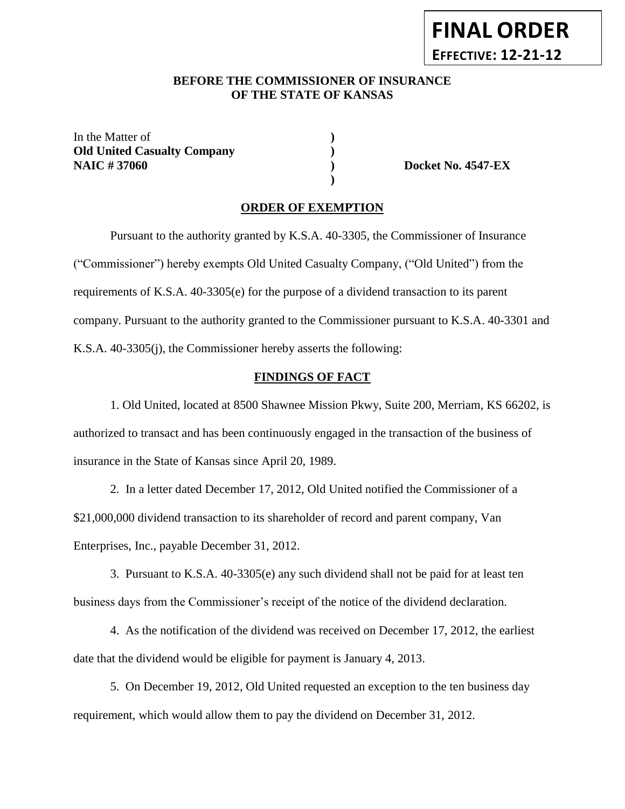# **FINAL ORDER EFFECTIVE: 12-21-12**

# BEFORE THE COMMISSIONER OF INSURANCE **OF THE STATE OF KANSAS**

In the Matter of **) Old United Casualty Company ) NAIC # 37060 ) Docket No. 4547-EX**

## **ORDER OF EXEMPTION**

**)**

Pursuant to the authority granted by K.S.A. 40-3305, the Commissioner of Insurance ("Commissioner") hereby exempts Old United Casualty Company, ("Old United") from the requirements of K.S.A. 40-3305(e) for the purpose of a dividend transaction to its parent company. Pursuant to the authority granted to the Commissioner pursuant to K.S.A. 40-3301 and K.S.A. 40-3305(j), the Commissioner hereby asserts the following:

#### **FINDINGS OF FACT**

1. Old United, located at 8500 Shawnee Mission Pkwy, Suite 200, Merriam, KS 66202, is authorized to transact and has been continuously engaged in the transaction of the business of insurance in the State of Kansas since April 20, 1989.

2. In a letter dated December 17, 2012, Old United notified the Commissioner of a \$21,000,000 dividend transaction to its shareholder of record and parent company, Van Enterprises, Inc., payable December 31, 2012.

3. Pursuant to K.S.A. 40-3305(e) any such dividend shall not be paid for at least ten business days from the Commissioner's receipt of the notice of the dividend declaration.

4. As the notification of the dividend was received on December 17, 2012, the earliest date that the dividend would be eligible for payment is January 4, 2013.

5. On December 19, 2012, Old United requested an exception to the ten business day requirement, which would allow them to pay the dividend on December 31, 2012.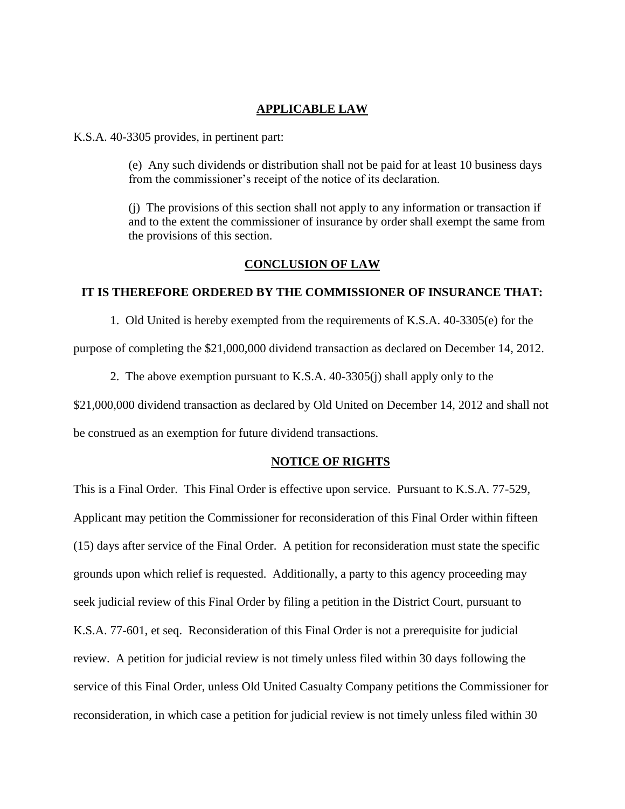# **APPLICABLE LAW**

K.S.A. 40-3305 provides, in pertinent part:

(e) Any such dividends or distribution shall not be paid for at least 10 business days from the commissioner's receipt of the notice of its declaration.

(j) The provisions of this section shall not apply to any information or transaction if and to the extent the commissioner of insurance by order shall exempt the same from the provisions of this section.

#### **CONCLUSION OF LAW**

## **IT IS THEREFORE ORDERED BY THE COMMISSIONER OF INSURANCE THAT:**

1. Old United is hereby exempted from the requirements of K.S.A. 40-3305(e) for the

purpose of completing the \$21,000,000 dividend transaction as declared on December 14, 2012.

2. The above exemption pursuant to K.S.A. 40-3305(j) shall apply only to the

\$21,000,000 dividend transaction as declared by Old United on December 14, 2012 and shall not

be construed as an exemption for future dividend transactions.

#### **NOTICE OF RIGHTS**

This is a Final Order. This Final Order is effective upon service. Pursuant to K.S.A. 77-529, Applicant may petition the Commissioner for reconsideration of this Final Order within fifteen (15) days after service of the Final Order. A petition for reconsideration must state the specific grounds upon which relief is requested. Additionally, a party to this agency proceeding may seek judicial review of this Final Order by filing a petition in the District Court, pursuant to K.S.A. 77-601, et seq. Reconsideration of this Final Order is not a prerequisite for judicial review. A petition for judicial review is not timely unless filed within 30 days following the service of this Final Order, unless Old United Casualty Company petitions the Commissioner for reconsideration, in which case a petition for judicial review is not timely unless filed within 30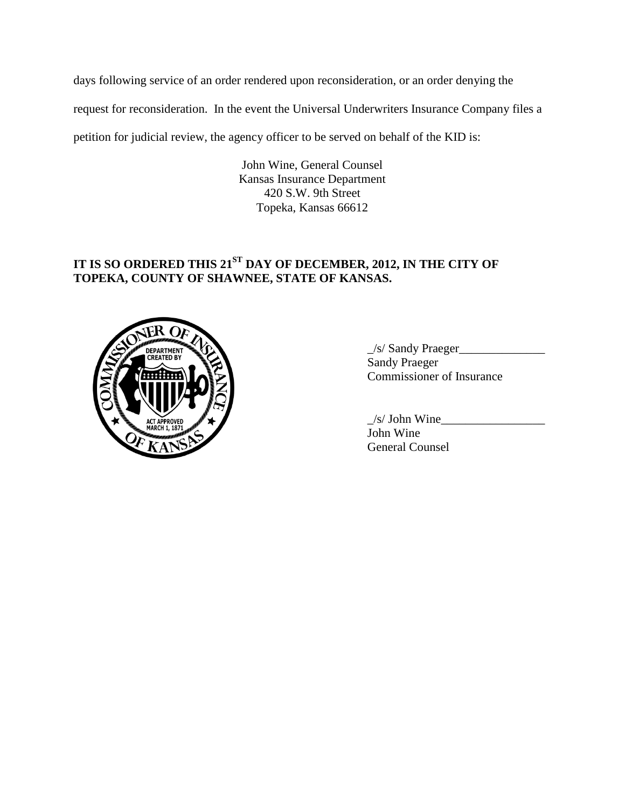days following service of an order rendered upon reconsideration, or an order denying the

request for reconsideration. In the event the Universal Underwriters Insurance Company files a

petition for judicial review, the agency officer to be served on behalf of the KID is:

John Wine, General Counsel Kansas Insurance Department 420 S.W. 9th Street Topeka, Kansas 66612

# **IT IS SO ORDERED THIS 21ST DAY OF DECEMBER, 2012, IN THE CITY OF TOPEKA, COUNTY OF SHAWNEE, STATE OF KANSAS.**



\_/s/ Sandy Praeger\_\_\_\_\_\_\_\_\_\_\_\_\_\_ Sandy Praeger Commissioner of Insurance

 $\angle$ s/ John Wine $\angle$ John Wine General Counsel